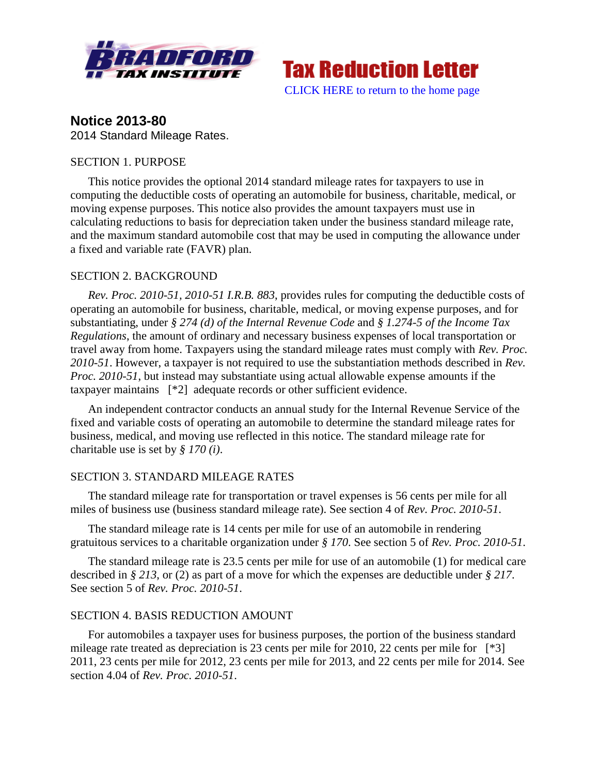



**Notice 2013-80** 2014 Standard Mileage Rates.

# SECTION 1. PURPOSE

This notice provides the optional 2014 standard mileage rates for taxpayers to use in computing the deductible costs of operating an automobile for business, charitable, medical, or moving expense purposes. This notice also provides the amount taxpayers must use in calculating reductions to basis for depreciation taken under the business standard mileage rate, and the maximum standard automobile cost that may be used in computing the allowance under a fixed and variable rate (FAVR) plan.

## SECTION 2. BACKGROUND

*Rev. Proc. 2010-51, 2010-51 I.R.B. 883*, provides rules for computing the deductible costs of operating an automobile for business, charitable, medical, or moving expense purposes, and for substantiating, under *§ 274 (d) of the Internal Revenue Code* and *§ 1.274-5 of the Income Tax Regulations*, the amount of ordinary and necessary business expenses of local transportation or travel away from home. Taxpayers using the standard mileage rates must comply with *Rev. Proc. 2010-51*. However, a taxpayer is not required to use the substantiation methods described in *Rev. Proc. 2010-51*, but instead may substantiate using actual allowable expense amounts if the taxpayer maintains [\*2] adequate records or other sufficient evidence.

An independent contractor conducts an annual study for the Internal Revenue Service of the fixed and variable costs of operating an automobile to determine the standard mileage rates for business, medical, and moving use reflected in this notice. The standard mileage rate for charitable use is set by *§ 170 (i)*.

## SECTION 3. STANDARD MILEAGE RATES

The standard mileage rate for transportation or travel expenses is 56 cents per mile for all miles of business use (business standard mileage rate). See section 4 of *Rev. Proc. 2010-51*.

The standard mileage rate is 14 cents per mile for use of an automobile in rendering gratuitous services to a charitable organization under *§ 170*. See section 5 of *Rev. Proc. 2010-51*.

The standard mileage rate is 23.5 cents per mile for use of an automobile (1) for medical care described in *§ 213*, or (2) as part of a move for which the expenses are deductible under *§ 217*. See section 5 of *Rev. Proc. 2010-51*.

## SECTION 4. BASIS REDUCTION AMOUNT

For automobiles a taxpayer uses for business purposes, the portion of the business standard mileage rate treated as depreciation is 23 cents per mile for 2010, 22 cents per mile for [\*3] 2011, 23 cents per mile for 2012, 23 cents per mile for 2013, and 22 cents per mile for 2014. See section 4.04 of *Rev. Proc. 2010-51*.